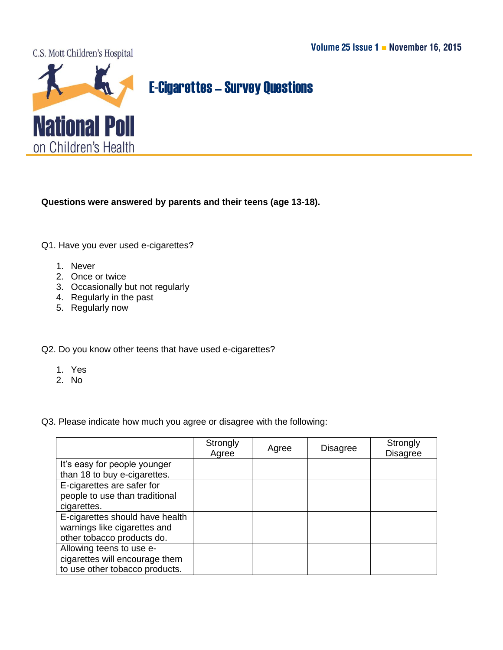

## **E-Cigarettes - Survey Questions**

**Questions were answered by parents and their teens (age 13-18).** 

Q1. Have you ever used e-cigarettes?

- 1. Never
- 2. Once or twice
- 3. Occasionally but not regularly
- 4. Regularly in the past
- 5. Regularly now

## Q2. Do you know other teens that have used e-cigarettes?

- 1. Yes
- 2. No

Q3. Please indicate how much you agree or disagree with the following:

|                                 | Strongly<br>Agree | Agree | <b>Disagree</b> | Strongly<br><b>Disagree</b> |
|---------------------------------|-------------------|-------|-----------------|-----------------------------|
| It's easy for people younger    |                   |       |                 |                             |
| than 18 to buy e-cigarettes.    |                   |       |                 |                             |
| E-cigarettes are safer for      |                   |       |                 |                             |
| people to use than traditional  |                   |       |                 |                             |
| cigarettes.                     |                   |       |                 |                             |
| E-cigarettes should have health |                   |       |                 |                             |
| warnings like cigarettes and    |                   |       |                 |                             |
| other tobacco products do.      |                   |       |                 |                             |
| Allowing teens to use e-        |                   |       |                 |                             |
| cigarettes will encourage them  |                   |       |                 |                             |
| to use other tobacco products.  |                   |       |                 |                             |